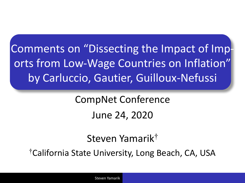Comments on "Dissecting the Impact of Imports from Low-Wage Countries on Inflation" by Carluccio, Gautier, Guilloux-Nefussi

> CompNet Conference June 24, 2020

> > Steven Yamarik†

†California State University, Long Beach, CA, USA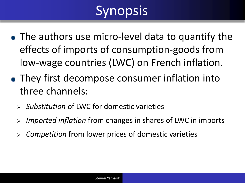# Synopsis

- The authors use micro-level data to quantify the effects of imports of consumption-goods from low-wage countries (LWC) on French inflation.
- They first decompose consumer inflation into three channels:
	- ➢ *Substitution* of LWC for domestic varieties
	- ➢ *Imported inflation* from changes in shares of LWC in imports
	- ➢ *Competition* from lower prices of domestic varieties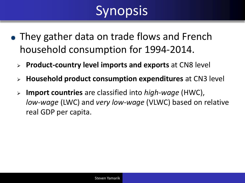# Synopsis

- They gather data on trade flows and French household consumption for 1994-2014.
	- ➢ **Product-country level imports and exports** at CN8 level
	- ➢ **Household product consumption expenditures** at CN3 level
	- ➢ **Import countries** are classified into *high-wage* (HWC), *low-wage* (LWC) and *very low-wage* (VLWC) based on relative real GDP per capita.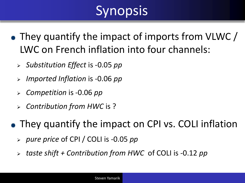# Synopsis

- They quantify the impact of imports from VLWC / LWC on French inflation into four channels:
	- ➢ *Substitution Effect* is -0.05 *pp*
	- ➢ *Imported Inflation* is -0.06 *pp*
	- ➢ *Competition* is -0.06 *pp*
	- ➢ *Contribution from HWC* is ?

• They quantify the impact on CPI vs. COLI inflation

- ➢ *pure price* of CPI / COLI is -0.05 *pp*
- ➢ *taste shift + Contribution from HWC* of COLI is -0.12 *pp*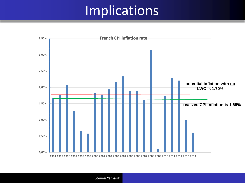## Implications

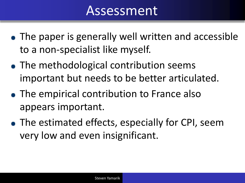#### Assessment

- The paper is generally well written and accessible to a non-specialist like myself.
- The methodological contribution seems important but needs to be better articulated.
- The empirical contribution to France also appears important.
- The estimated effects, especially for CPI, seem very low and even insignificant.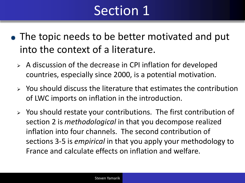## Section 1

- The topic needs to be better motivated and put into the context of a literature.
	- ➢ A discussion of the decrease in CPI inflation for developed countries, especially since 2000, is a potential motivation.
	- $\triangleright$  You should discuss the literature that estimates the contribution of LWC imports on inflation in the introduction.
	- ➢ You should restate your contributions. The first contribution of section 2 is *methodological* in that you decompose realized inflation into four channels. The second contribution of sections 3-5 is *empirical* in that you apply your methodology to France and calculate effects on inflation and welfare.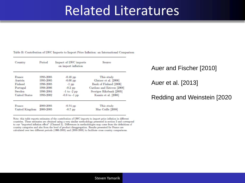#### Related Literatures

Table B: Contribution of LWC Imports to Import Price Inflation: an International Comparison

| Country              | Period    | Impact of LWC imports<br>on import inflation | Source                     |
|----------------------|-----------|----------------------------------------------|----------------------------|
| France               | 1995-2005 | $-0.48$ pp                                   | This study                 |
| Austria              | 1995-2005 | $-0.66$ pp                                   | Glatzer et al. [2006]      |
| Finland              | 1996-2005 | $-1$ pp                                      | Bank of Finland [2006]     |
| Portugal             | 1998-2006 | $-0.2$ pp                                    | Cardoso and Esteves [2008] |
| Sweden               | 1996-2004 | $-1$ to $-2$ pp                              | Sveriges Riksbank [2005]   |
| <b>United States</b> | 1993-2002 | $-0.8$ to $-1$ pp                            | Kamin et al. [2006]        |
| France               | 2000-2005 | $-0.74$ pp                                   | This study                 |
| United Kingdom       | 2000-2005 | $-0.7$ pp                                    | Mac Coille [2008]          |

Note: this table reports estimates of the contribution of LWC imports to import price inflation in different countries. These estimates are obtained using a very similar methodology presented in section 2 and correspond to our "imported inflation effect" (Channel 2). Differences in methodologies may come from the definitions of country categories and also from the level of product disaggregation. Results presented for France are calculated over two different periods (1995-2005) and (2000-2005) to facilitate cross country comparisons.

Auer and Fischer [2010]

Auer et al. [2013]

#### Redding and Weinstein [2020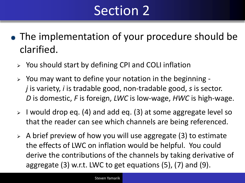## Section 2

- The implementation of your procedure should be clarified.
	- ➢ You should start by defining CPI and COLI inflation
	- ➢ You may want to define your notation in the beginning *j* is variety, *i* is tradable good, non-tradable good, *s* is sector. *D* is domestic, *F* is foreign, *LWC* is low-wage, *HWC* is high-wage.
	- ➢ I would drop eq. (4) and add eq. (3) at some aggregate level so that the reader can see which channels are being referenced.
	- $\triangleright$  A brief preview of how you will use aggregate (3) to estimate the effects of LWC on inflation would be helpful. You could derive the contributions of the channels by taking derivative of aggregate (3) w.r.t. LWC to get equations (5), (7) and (9).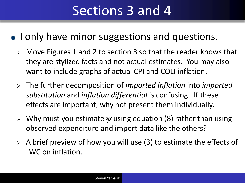# Sections 3 and 4

- I only have minor suggestions and questions.
	- ➢ Move Figures 1 and 2 to section 3 so that the reader knows that they are stylized facts and not actual estimates. You may also want to include graphs of actual CPI and COLI inflation.
	- ➢ The further decomposition of *imported inflation* into *imported substitution* and *inflation differential* is confusing. If these effects are important, why not present them individually.
	- ➢ Why must you estimate *ψ* using equation (8) rather than using observed expenditure and import data like the others?
	- $\geq$  A brief preview of how you will use (3) to estimate the effects of LWC on inflation.